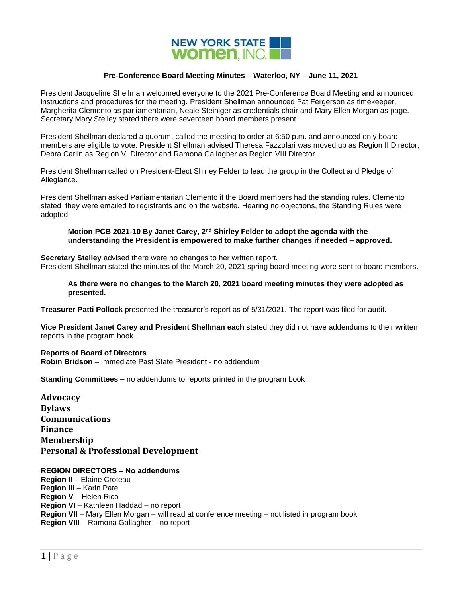

## **Pre-Conference Board Meeting Minutes – Waterloo, NY – June 11, 2021**

President Jacqueline Shellman welcomed everyone to the 2021 Pre-Conference Board Meeting and announced instructions and procedures for the meeting. President Shellman announced Pat Fergerson as timekeeper, Margherita Clemento as parliamentarian, Neale Steiniger as credentials chair and Mary Ellen Morgan as page. Secretary Mary Stelley stated there were seventeen board members present.

President Shellman declared a quorum, called the meeting to order at 6:50 p.m. and announced only board members are eligible to vote. President Shellman advised Theresa Fazzolari was moved up as Region II Director, Debra Carlin as Region VI Director and Ramona Gallagher as Region VIII Director.

President Shellman called on President-Elect Shirley Felder to lead the group in the Collect and Pledge of Allegiance.

President Shellman asked Parliamentarian Clemento if the Board members had the standing rules. Clemento stated they were emailed to registrants and on the website. Hearing no objections, the Standing Rules were adopted.

### **Motion PCB 2021-10 By Janet Carey, 2nd Shirley Felder to adopt the agenda with the understanding the President is empowered to make further changes if needed – approved.**

**Secretary Stelley** advised there were no changes to her written report. President Shellman stated the minutes of the March 20, 2021 spring board meeting were sent to board members.

**As there were no changes to the March 20, 2021 board meeting minutes they were adopted as presented.**

**Treasurer Patti Pollock** presented the treasurer's report as of 5/31/2021. The report was filed for audit.

**Vice President Janet Carey and President Shellman each** stated they did not have addendums to their written reports in the program book.

## **Reports of Board of Directors**

**Robin Bridson** – Immediate Past State President - no addendum

**Standing Committees –** no addendums to reports printed in the program book

**Advocacy Bylaws Communications Finance Membership Personal & Professional Development**

## **REGION DIRECTORS – No addendums**

**Region II –** Elaine Croteau **Region III** – Karin Patel **Region V** – Helen Rico **Region VI** – Kathleen Haddad – no report **Region VII** – Mary Ellen Morgan – will read at conference meeting – not listed in program book **Region VIII** – Ramona Gallagher – no report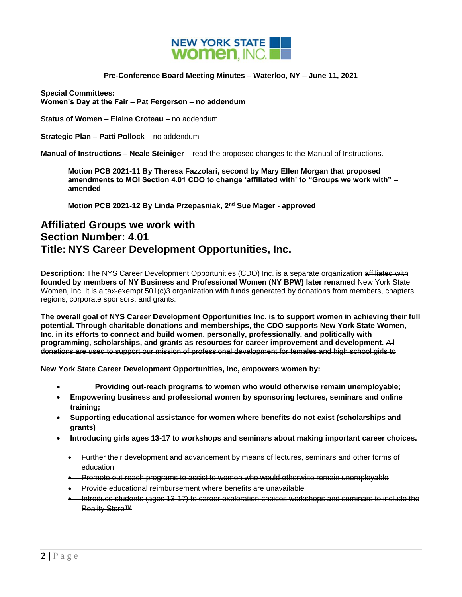

# **Pre-Conference Board Meeting Minutes – Waterloo, NY – June 11, 2021**

**Special Committees: Women's Day at the Fair – Pat Fergerson – no addendum**

**Status of Women – Elaine Croteau –** no addendum

**Strategic Plan – Patti Pollock** – no addendum

**Manual of Instructions – Neale Steiniger** – read the proposed changes to the Manual of Instructions.

**Motion PCB 2021-11 By Theresa Fazzolari, second by Mary Ellen Morgan that proposed amendments to MOI Section 4.01 CDO to change 'affiliated with' to "Groups we work with" – amended**

**Motion PCB 2021-12 By Linda Przepasniak, 2nd Sue Mager - approved**

# **Affiliated Groups we work with Section Number: 4.01 Title: NYS Career Development Opportunities, Inc.**

**Description:** The NYS Career Development Opportunities (CDO) Inc. is a separate organization affiliated with **founded by members of NY Business and Professional Women (NY BPW) later renamed** New York State Women, Inc. It is a tax-exempt 501(c)3 organization with funds generated by donations from members, chapters, regions, corporate sponsors, and grants.

**The overall goal of NYS Career Development Opportunities Inc. is to support women in achieving their full potential. Through charitable donations and memberships, the CDO supports New York State Women, Inc. in its efforts to connect and build women, personally, professionally, and politically with programming, scholarships, and grants as resources for career improvement and development.** All donations are used to support our mission of professional development for females and high school girls to:

**New York State Career Development Opportunities, Inc, empowers women by:**

- **Providing out-reach programs to women who would otherwise remain unemployable;**
- **Empowering business and professional women by sponsoring lectures, seminars and online training;**
- **Supporting educational assistance for women where benefits do not exist (scholarships and grants)**
- **Introducing girls ages 13-17 to workshops and seminars about making important career choices.**
	- Further their development and advancement by means of lectures, seminars and other forms of education
	- Promote out-reach programs to assist to women who would otherwise remain unemployable
	- **•** Provide educational reimbursement where benefits are unavailable
	- Introduce students (ages 13-17) to career exploration choices workshops and seminars to include the Reality Store™